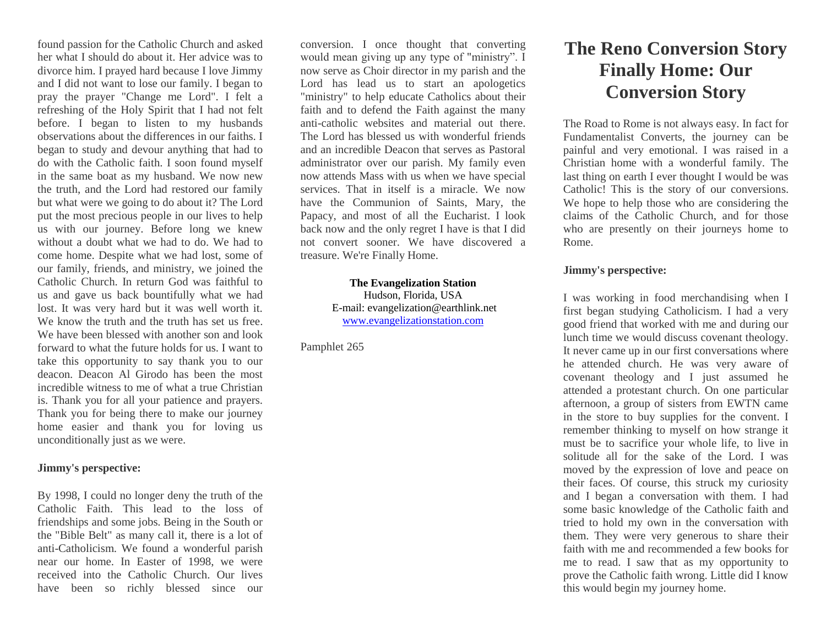found passion for the Catholic Church and asked her what I should do about it. Her advice was to divorce him. I prayed hard because I love Jimmy and I did not want to lose our family. I began to pray the prayer "Change me Lord". I felt a refreshing of the Holy Spirit that I had not felt before. I began to listen to my husbands observations about the differences in our faiths. I began to study and devour anything that had to do with the Catholic faith. I soon found myself in the same boat as my husband. We now new the truth, and the Lord had restored our family but what were we going to do about it? The Lord put the most precious people in our lives to help us with our journey. Before long we knew without a doubt what we had to do. We had to come home. Despite what we had lost, some of our family, friends, and ministry, we joined the Catholic Church. In return God was faithful to us and gave us back bountifully what we had lost. It was very hard but it was well worth it. We know the truth and the truth has set us free. We have been blessed with another son and look forward to what the future holds for us. I want to take this opportunity to say thank you to our deacon. Deacon Al Girodo has been the most incredible witness to me of what a true Christian is. Thank you for all your patience and prayers. Thank you for being there to make our journey home easier and thank you for loving us unconditionally just as we were.

## **Jimmy's perspective:**

By 1998, I could no longer deny the truth of the Catholic Faith. This lead to the loss of friendships and some jobs. Being in the South or the "Bible Belt" as many call it, there is a lot of anti-Catholicism. We found a wonderful parish near our home. In Easter of 1998, we were received into the Catholic Church. Our lives have been so richly blessed since our

conversion. I once thought that converting would mean giving up any type of "ministry". I now serve as Choir director in my parish and the Lord has lead us to start an apologetics "ministry" to help educate Catholics about their faith and to defend the Faith against the many anti-catholic websites and material out there. The Lord has blessed us with wonderful friends and an incredible Deacon that serves as Pastoral administrator over our parish. My family even now attends Mass with us when we have special services. That in itself is a miracle. We now have the Communion of Saints, Mary, the Papacy, and most of all the Eucharist. I look back now and the only regret I have is that I did not convert sooner. We have discovered a treasure. We're Finally Home.

> **The Evangelization Station** Hudson, Florida, USA E-mail: evangelization@earthlink.net [www.evangelizationstation.com](http://www.pjpiisoe.org/)

Pamphlet 265

# **The Reno Conversion Story Finally Home: Our Conversion Story**

The Road to Rome is not always easy. In fact for Fundamentalist Converts, the journey can be painful and very emotional. I was raised in a Christian home with a wonderful family. The last thing on earth I ever thought I would be was Catholic! This is the story of our conversions. We hope to help those who are considering the claims of the Catholic Church, and for those who are presently on their journeys home to Rome.

## **Jimmy's perspective:**

I was working in food merchandising when I first began studying Catholicism. I had a very good friend that worked with me and during our lunch time we would discuss covenant theology. It never came up in our first conversations where he attended church. He was very aware of covenant theology and I just assumed he attended a protestant church. On one particular afternoon, a group of sisters from EWTN came in the store to buy supplies for the convent. I remember thinking to myself on how strange it must be to sacrifice your whole life, to live in solitude all for the sake of the Lord. I was moved by the expression of love and peace on their faces. Of course, this struck my curiosity and I began a conversation with them. I had some basic knowledge of the Catholic faith and tried to hold my own in the conversation with them. They were very generous to share their faith with me and recommended a few books for me to read. I saw that as my opportunity to prove the Catholic faith wrong. Little did I know this would begin my journey home.